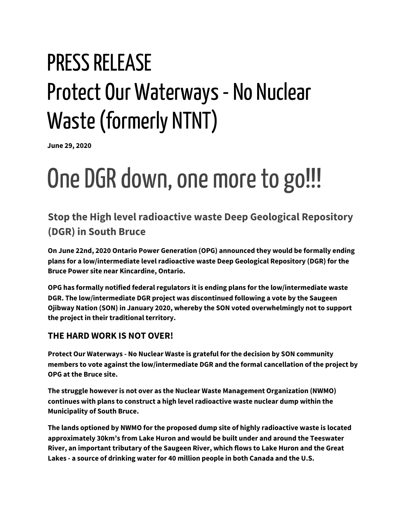## PRESS RELEASE Protect Our Waterways - No Nuclear Waste(formerly NTNT)

**June 29, 2020**

# One DGR down, one more to go!!!

## **Stop the High level radioactive waste Deep Geological Repository (DGR) in South Bruce**

**On June 22nd, 2020 Ontario Power Generation (OPG) announced they would be formally ending plans for a low/intermediate level radioactive waste Deep Geological Repository (DGR) for the Bruce Power site near Kincardine, Ontario.**

**OPG has formally notified federal regulators it is ending plans for the low/intermediate waste DGR. The low/intermediate DGR project was discontinued following a vote by the Saugeen Ojibway Nation (SON) in January 2020, whereby the SON voted overwhelmingly not to support the project in their traditional territory.**

#### **THE HARD WORK IS NOT OVER!**

**Protect Our Waterways - No Nuclear Waste is grateful for the decision by SON community members to vote against the low/intermediate DGR and the formal cancellation of the project by OPG at the Bruce site.**

**The struggle however is not over as the Nuclear Waste Management Organization (NWMO) continues with plans to construct a high level radioactive waste nuclear dump within the Municipality of South Bruce.**

**The lands optioned by NWMO for the proposed dump site of highly radioactive waste is located approximately 30km's from Lake Huron and would be built under and around the Teeswater River, an important tributary of the Saugeen River, which flows to Lake Huron and the Great Lakes - a source of drinking water for 40 million people in both Canada and the U.S.**